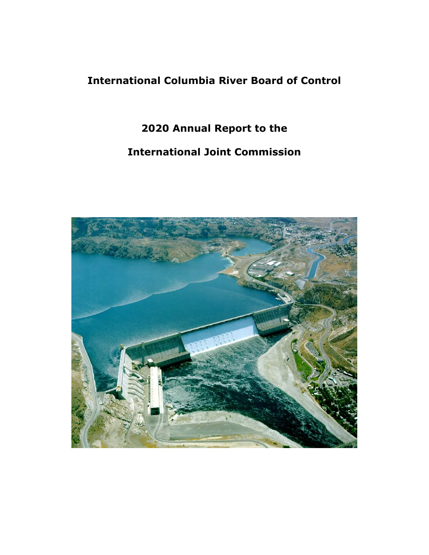# **International Columbia River Board of Control**

# **2020 Annual Report to the International Joint Commission**

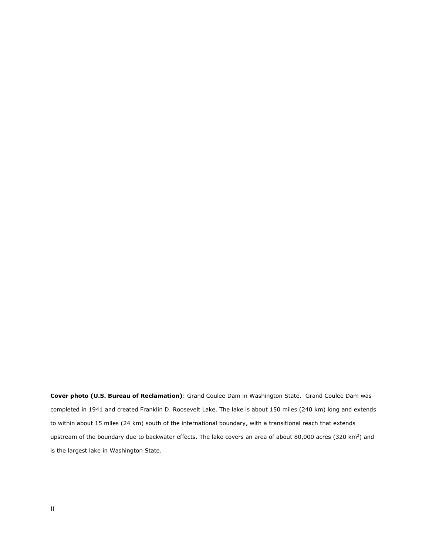**Cover photo (U.S. Bureau of Reclamation)**: Grand Coulee Dam in Washington State. Grand Coulee Dam was completed in 1941 and created Franklin D. Roosevelt Lake. The lake is about 150 miles (240 km) long and extends to within about 15 miles (24 km) south of the international boundary, with a transitional reach that extends upstream of the boundary due to backwater effects. The lake covers an area of about 80,000 acres (320 km<sup>2</sup>) and is the largest lake in Washington State.

ii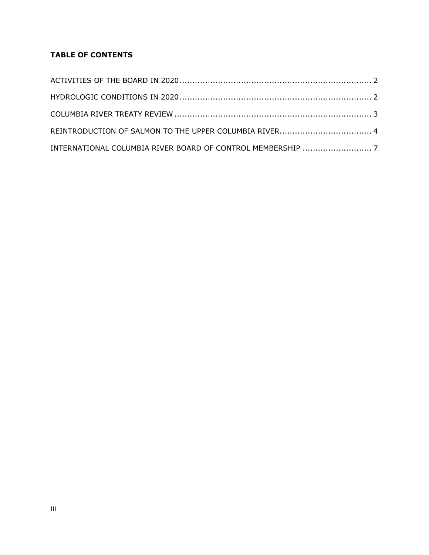### **TABLE OF CONTENTS**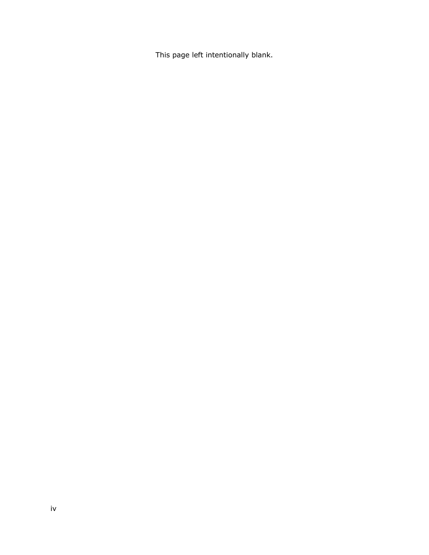This page left intentionally blank.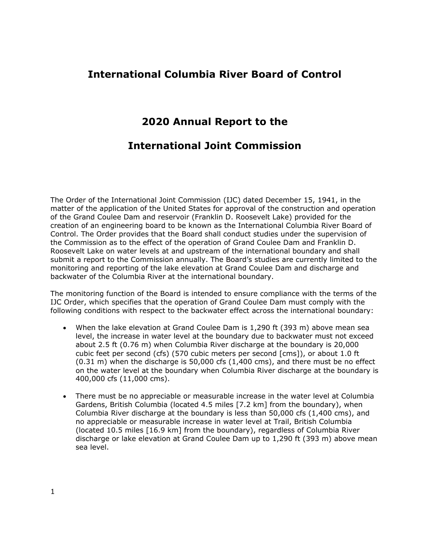## **International Columbia River Board of Control**

## **2020 Annual Report to the**

## **International Joint Commission**

The Order of the International Joint Commission (IJC) dated December 15, 1941, in the matter of the application of the United States for approval of the construction and operation of the Grand Coulee Dam and reservoir (Franklin D. Roosevelt Lake) provided for the creation of an engineering board to be known as the International Columbia River Board of Control. The Order provides that the Board shall conduct studies under the supervision of the Commission as to the effect of the operation of Grand Coulee Dam and Franklin D. Roosevelt Lake on water levels at and upstream of the international boundary and shall submit a report to the Commission annually. The Board's studies are currently limited to the monitoring and reporting of the lake elevation at Grand Coulee Dam and discharge and backwater of the Columbia River at the international boundary.

The monitoring function of the Board is intended to ensure compliance with the terms of the IJC Order, which specifies that the operation of Grand Coulee Dam must comply with the following conditions with respect to the backwater effect across the international boundary:

- When the lake elevation at Grand Coulee Dam is 1,290 ft (393 m) above mean sea level, the increase in water level at the boundary due to backwater must not exceed about 2.5 ft (0.76 m) when Columbia River discharge at the boundary is 20,000 cubic feet per second (cfs) (570 cubic meters per second [cms]), or about 1.0 ft  $(0.31 \text{ m})$  when the discharge is 50,000 cfs  $(1,400 \text{ cm})$ , and there must be no effect on the water level at the boundary when Columbia River discharge at the boundary is 400,000 cfs (11,000 cms).
- There must be no appreciable or measurable increase in the water level at Columbia Gardens, British Columbia (located 4.5 miles [7.2 km] from the boundary), when Columbia River discharge at the boundary is less than 50,000 cfs (1,400 cms), and no appreciable or measurable increase in water level at Trail, British Columbia (located 10.5 miles [16.9 km] from the boundary), regardless of Columbia River discharge or lake elevation at Grand Coulee Dam up to 1,290 ft (393 m) above mean sea level.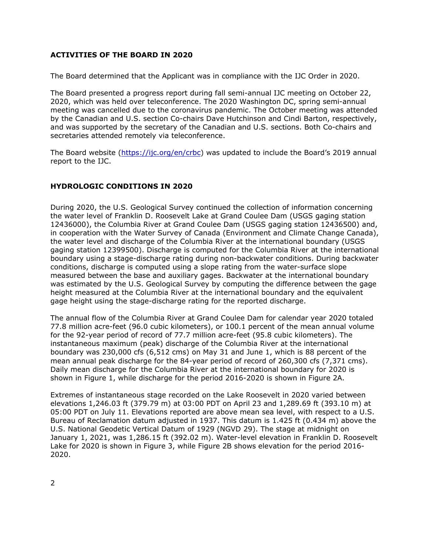#### **ACTIVITIES OF THE BOARD IN 2020**

The Board determined that the Applicant was in compliance with the IJC Order in 2020.

The Board presented a progress report during fall semi-annual IJC meeting on October 22, 2020, which was held over teleconference. The 2020 Washington DC, spring semi-annual meeting was cancelled due to the coronavirus pandemic. The October meeting was attended by the Canadian and U.S. section Co-chairs Dave Hutchinson and Cindi Barton, respectively, and was supported by the secretary of the Canadian and U.S. sections. Both Co-chairs and secretaries attended remotely via teleconference.

The Board website [\(https://ijc.org/en/crbc\)](https://ijc.org/en/crbc) was updated to include the Board's 2019 annual report to the IJC.

#### **HYDROLOGIC CONDITIONS IN 2020**

During 2020, the U.S. Geological Survey continued the collection of information concerning the water level of Franklin D. Roosevelt Lake at Grand Coulee Dam (USGS gaging station 12436000), the Columbia River at Grand Coulee Dam (USGS gaging station 12436500) and, in cooperation with the Water Survey of Canada (Environment and Climate Change Canada), the water level and discharge of the Columbia River at the international boundary (USGS gaging station 12399500). Discharge is computed for the Columbia River at the international boundary using a stage-discharge rating during non-backwater conditions. During backwater conditions, discharge is computed using a slope rating from the water-surface slope measured between the base and auxiliary gages. Backwater at the international boundary was estimated by the U.S. Geological Survey by computing the difference between the gage height measured at the Columbia River at the international boundary and the equivalent gage height using the stage-discharge rating for the reported discharge.

The annual flow of the Columbia River at Grand Coulee Dam for calendar year 2020 totaled 77.8 million acre-feet (96.0 cubic kilometers), or 100.1 percent of the mean annual volume for the 92-year period of record of 77.7 million acre-feet (95.8 cubic kilometers). The instantaneous maximum (peak) discharge of the Columbia River at the international boundary was 230,000 cfs (6,512 cms) on May 31 and June 1, which is 88 percent of the mean annual peak discharge for the 84-year period of record of 260,300 cfs (7,371 cms). Daily mean discharge for the Columbia River at the international boundary for 2020 is shown in Figure 1, while discharge for the period 2016-2020 is shown in Figure 2A.

Extremes of instantaneous stage recorded on the Lake Roosevelt in 2020 varied between elevations 1,246.03 ft (379.79 m) at 03:00 PDT on April 23 and 1,289.69 ft (393.10 m) at 05:00 PDT on July 11. Elevations reported are above mean sea level, with respect to a U.S. Bureau of Reclamation datum adjusted in 1937. This datum is 1.425 ft (0.434 m) above the U.S. National Geodetic Vertical Datum of 1929 (NGVD 29). The stage at midnight on January 1, 2021, was 1,286.15 ft (392.02 m). Water-level elevation in Franklin D. Roosevelt Lake for 2020 is shown in Figure 3, while Figure 2B shows elevation for the period 2016- 2020.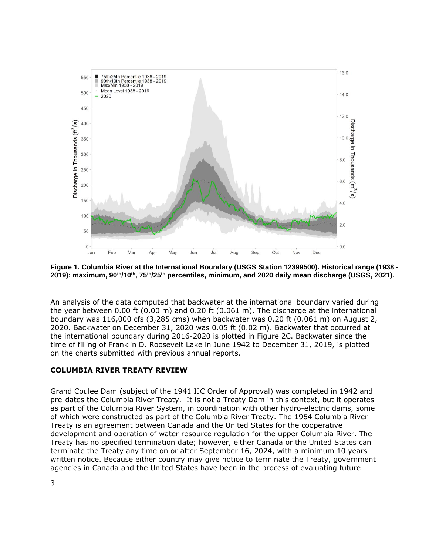

**Figure 1. Columbia River at the International Boundary (USGS Station 12399500). Historical range (1938 - 2019): maximum, 90th/10th , 75th/25th percentiles, minimum, and 2020 daily mean discharge (USGS, 2021).**

An analysis of the data computed that backwater at the international boundary varied during the year between 0.00 ft (0.00 m) and 0.20 ft (0.061 m). The discharge at the international boundary was 116,000 cfs (3,285 cms) when backwater was 0.20 ft (0.061 m) on August 2, 2020. Backwater on December 31, 2020 was 0.05 ft (0.02 m). Backwater that occurred at the international boundary during 2016-2020 is plotted in Figure 2C. Backwater since the time of filling of Franklin D. Roosevelt Lake in June 1942 to December 31, 2019, is plotted on the charts submitted with previous annual reports.

#### **COLUMBIA RIVER TREATY REVIEW**

Grand Coulee Dam (subject of the 1941 IJC Order of Approval) was completed in 1942 and pre-dates the Columbia River Treaty. It is not a Treaty Dam in this context, but it operates as part of the Columbia River System, in coordination with other hydro-electric dams, some of which were constructed as part of the Columbia River Treaty. The 1964 Columbia River Treaty is an agreement between Canada and the United States for the cooperative development and operation of water resource regulation for the upper Columbia River. The Treaty has no specified termination date; however, either Canada or the United States can terminate the Treaty any time on or after September 16, 2024, with a minimum 10 years written notice. Because either country may give notice to terminate the Treaty, government agencies in Canada and the United States have been in the process of evaluating future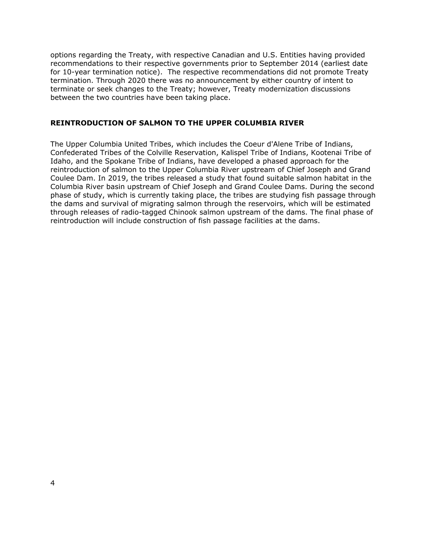options regarding the Treaty, with respective Canadian and U.S. Entities having provided recommendations to their respective governments prior to September 2014 (earliest date for 10-year termination notice). The respective recommendations did not promote Treaty termination. Through 2020 there was no announcement by either country of intent to terminate or seek changes to the Treaty; however, Treaty modernization discussions between the two countries have been taking place.

#### **REINTRODUCTION OF SALMON TO THE UPPER COLUMBIA RIVER**

The Upper Columbia United Tribes, which includes the Coeur d'Alene Tribe of Indians, Confederated Tribes of the Colville Reservation, Kalispel Tribe of Indians, Kootenai Tribe of Idaho, and the Spokane Tribe of Indians, have developed a phased approach for the reintroduction of salmon to the Upper Columbia River upstream of Chief Joseph and Grand Coulee Dam. In 2019, the tribes released a study that found suitable salmon habitat in the Columbia River basin upstream of Chief Joseph and Grand Coulee Dams. During the second phase of study, which is currently taking place, the tribes are studying fish passage through the dams and survival of migrating salmon through the reservoirs, which will be estimated through releases of radio-tagged Chinook salmon upstream of the dams. The final phase of reintroduction will include construction of fish passage facilities at the dams.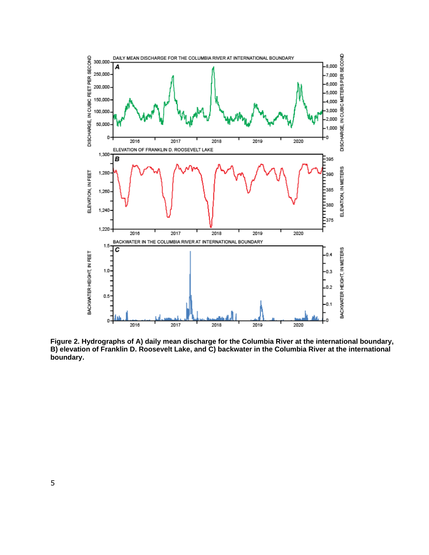

**Figure 2. Hydrographs of A) daily mean discharge for the Columbia River at the international boundary, B) elevation of Franklin D. Roosevelt Lake, and C) backwater in the Columbia River at the international boundary.**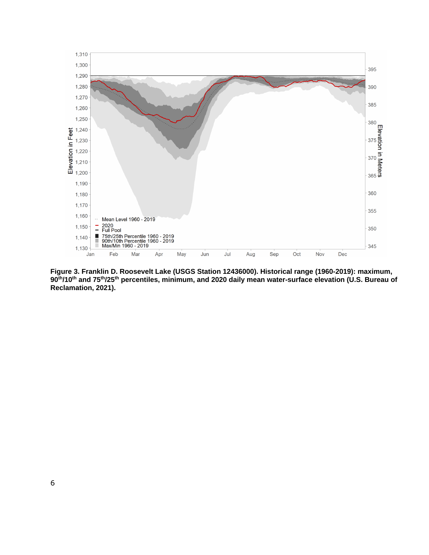

**Figure 3. Franklin D. Roosevelt Lake (USGS Station 12436000). Historical range (1960-2019): maximum, 90th/10th and 75th/25th percentiles, minimum, and 2020 daily mean water-surface elevation (U.S. Bureau of Reclamation, 2021).**